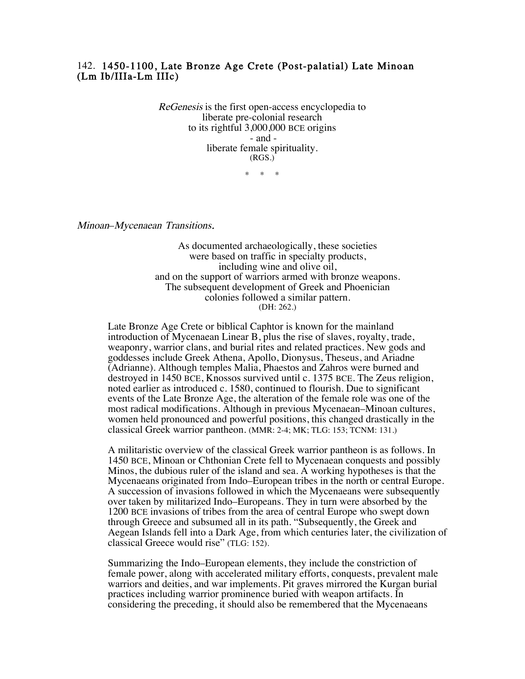## 142. 1450-1100, Late Bronze Age Crete (Post-palatial) Late Minoan (Lm Ib/IIIa-Lm IIIc)

ReGenesis is the first open-access encyclopedia to liberate pre-colonial research to its rightful 3,000,000 BCE origins - and liberate female spirituality. (RGS.)

\* \* \*

Minoan–Mycenaean Transitions.

 As documented archaeologically, these societies were based on traffic in specialty products, including wine and olive oil, and on the support of warriors armed with bronze weapons. The subsequent development of Greek and Phoenician colonies followed a similar pattern. (DH: 262.)

Late Bronze Age Crete or biblical Caphtor is known for the mainland introduction of Mycenaean Linear B, plus the rise of slaves, royalty, trade, weaponry, warrior clans, and burial rites and related practices. New gods and goddesses include Greek Athena, Apollo, Dionysus, Theseus, and Ariadne (Adrianne). Although temples Malia, Phaestos and Zahros were burned and destroyed in 1450 BCE, Knossos survived until c. 1375 BCE. The Zeus religion, noted earlier as introduced c. 1580, continued to flourish. Due to significant events of the Late Bronze Age, the alteration of the female role was one of the most radical modifications. Although in previous Mycenaean–Minoan cultures, women held pronounced and powerful positions, this changed drastically in the classical Greek warrior pantheon. (MMR: 2-4; MK; TLG: 153; TCNM: 131.)

 A militaristic overview of the classical Greek warrior pantheon is as follows. In 1450 BCE, Minoan or Chthonian Crete fell to Mycenaean conquests and possibly Minos, the dubious ruler of the island and sea. A working hypotheses is that the Mycenaeans originated from Indo–European tribes in the north or central Europe. A succession of invasions followed in which the Mycenaeans were subsequently over taken by militarized Indo–Europeans. They in turn were absorbed by the 1200 BCE invasions of tribes from the area of central Europe who swept down through Greece and subsumed all in its path. "Subsequently, the Greek and Aegean Islands fell into a Dark Age, from which centuries later, the civilization of classical Greece would rise" (TLG: 152).

 Summarizing the Indo–European elements, they include the constriction of female power, along with accelerated military efforts, conquests, prevalent male warriors and deities, and war implements. Pit graves mirrored the Kurgan burial practices including warrior prominence buried with weapon artifacts. In considering the preceding, it should also be remembered that the Mycenaeans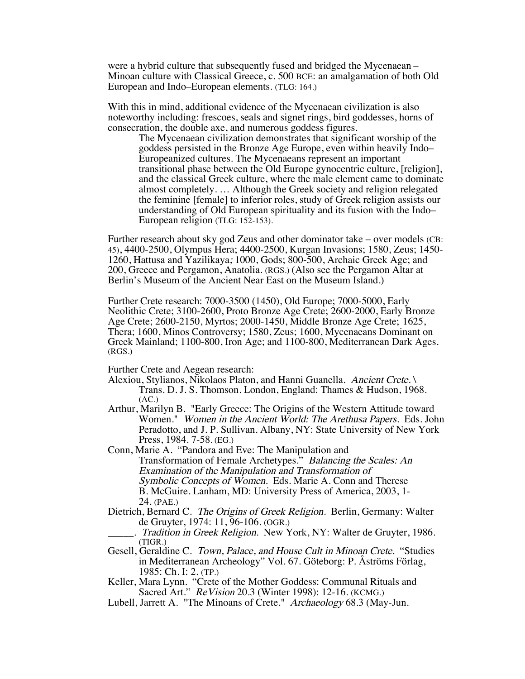were a hybrid culture that subsequently fused and bridged the Mycenaean – Minoan culture with Classical Greece, c. 500 BCE: an amalgamation of both Old European and Indo–European elements. (TLG: 164.)

With this in mind, additional evidence of the Mycenaean civilization is also noteworthy including: frescoes, seals and signet rings, bird goddesses, horns of consecration, the double axe, and numerous goddess figures.

The Mycenaean civilization demonstrates that significant worship of the goddess persisted in the Bronze Age Europe, even within heavily Indo– Europeanized cultures. The Mycenaeans represent an important transitional phase between the Old Europe gynocentric culture, [religion], and the classical Greek culture, where the male element came to dominate almost completely. … Although the Greek society and religion relegated the feminine [female] to inferior roles, study of Greek religion assists our understanding of Old European spirituality and its fusion with the Indo– European religion (TLG: 152-153).

Further research about sky god Zeus and other dominator take – over models (CB: 45), 4400-2500, Olympus Hera; 4400-2500, Kurgan Invasions; 1580, Zeus; 1450- 1260, Hattusa and Yazilikaya; 1000, Gods; 800-500, Archaic Greek Age; and 200, Greece and Pergamon, Anatolia. (RGS.) (Also see the Pergamon Altar at Berlin's Museum of the Ancient Near East on the Museum Island.)

Further Crete research: 7000-3500 (1450), Old Europe; 7000-5000, Early Neolithic Crete; 3100-2600, Proto Bronze Age Crete; 2600-2000, Early Bronze Age Crete; 2600-2150, Myrtos; 2000-1450, Middle Bronze Age Crete; 1625, Thera; 1600, Minos Controversy; 1580, Zeus; 1600, Mycenaeans Dominant on Greek Mainland; 1100-800, Iron Age; and 1100-800, Mediterranean Dark Ages. (RGS.)

Further Crete and Aegean research:

- Alexiou, Stylianos, Nikolaos Platon, and Hanni Guanella. Ancient Crete. Trans. D. J. S. Thomson. London, England: Thames & Hudson, 1968.  $(AC.)$
- Arthur, Marilyn B. "Early Greece: The Origins of the Western Attitude toward Women." Women in the Ancient World: The Arethusa Papers. Eds. John Peradotto, and J. P. Sullivan. Albany, NY: State University of New York Press, 1984. 7-58. (EG.)
- Conn, Marie A. "Pandora and Eve: The Manipulation and Transformation of Female Archetypes." Balancing the Scales: An Examination of the Manipulation and Transformation of Symbolic Concepts of Women. Eds. Marie A. Conn and Therese B. McGuire. Lanham, MD: University Press of America, 2003, 1- 24. (PAE.)
- Dietrich, Bernard C. The Origins of Greek Religion. Berlin, Germany: Walter de Gruyter, 1974: 11, 96-106. (OGR.)
- Tradition in Greek Religion. New York, NY: Walter de Gruyter, 1986. (TIGR.)
- Gesell, Geraldine C. Town, Palace, and House Cult in Minoan Crete. "Studies in Mediterranean Archeology" Vol. 67. Göteborg: P. Åströms Förlag, 1985: Ch. I: 2. (TP.)
- Keller, Mara Lynn. "Crete of the Mother Goddess: Communal Rituals and Sacred Art." ReVision 20.3 (Winter 1998): 12-16. (KCMG.)
- Lubell, Jarrett A. "The Minoans of Crete." Archaeology 68.3 (May-Jun.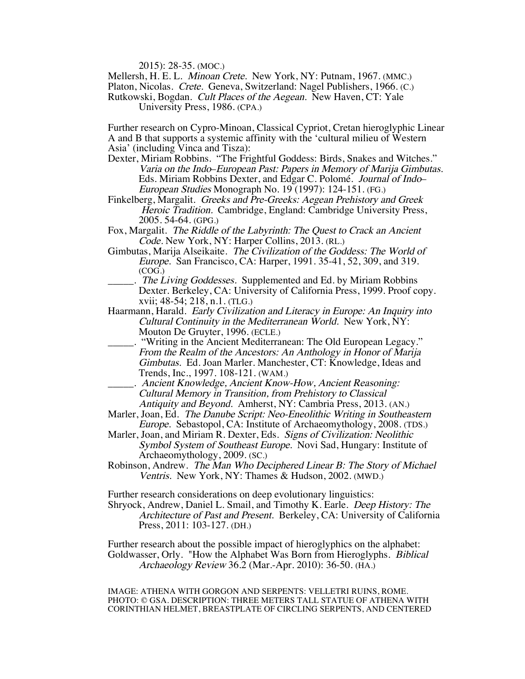2015): 28-35. (MOC.)

Mellersh, H. E. L. *Minoan Crete.* New York, NY: Putnam, 1967. (MMC.)

Platon, Nicolas. Crete. Geneva, Switzerland: Nagel Publishers, 1966. (C.)

Rutkowski, Bogdan. Cult Places of the Aegean. New Haven, CT: Yale University Press, 1986. (CPA.)

Further research on Cypro-Minoan, Classical Cypriot, Cretan hieroglyphic Linear A and B that supports a systemic affinity with the 'cultural milieu of Western Asia' (including Vinca and Tisza):

- Dexter, Miriam Robbins. "The Frightful Goddess: Birds, Snakes and Witches." Varia on the Indo–European Past: Papers in Memory of Marija Gimbutas. Eds. Miriam Robbins Dexter, and Edgar C. Polomé. Journal of Indo– European Studies Monograph No. 19 (1997): 124-151. (FG.)
- Finkelberg, Margalit. Greeks and Pre-Greeks: Aegean Prehistory and Greek Heroic Tradition. Cambridge, England: Cambridge University Press, 2005. 54-64. (GPG.)
- Fox, Margalit. The Riddle of the Labyrinth: The Quest to Crack an Ancient Code. New York, NY: Harper Collins, 2013. (RL.)
- Gimbutas, Marija Alseikaite. The Civilization of the Goddess: The World of Europe. San Francisco, CA: Harper, 1991. 35-41, 52, 309, and 319. (COG.)
- . The Living Goddesses. Supplemented and Ed. by Miriam Robbins Dexter. Berkeley, CA: University of California Press, 1999. Proof copy. xvii; 48-54; 218, n.1. (TLG.)
- Haarmann, Harald. Early Civilization and Literacy in Europe: An Inquiry into Cultural Continuity in the Mediterranean World. New York, NY: Mouton De Gruyter, 1996. (ECLE.)
- "Writing in the Ancient Mediterranean: The Old European Legacy." From the Realm of the Ancestors: An Anthology in Honor of Marija Gimbutas. Ed. Joan Marler. Manchester, CT: Knowledge, Ideas and Trends, Inc., 1997. 108-121. (WAM.)
- \_\_\_\_\_. Ancient Knowledge, Ancient Know-How, Ancient Reasoning: Cultural Memory in Transition, from Prehistory to Classical Antiquity and Beyond. Amherst, NY: Cambria Press, 2013. (AN.)
- Marler, Joan, Ed. The Danube Script: Neo-Eneolithic Writing in Southeastern Europe. Sebastopol, CA: Institute of Archaeomythology, 2008. (TDS.)
- Marler, Joan, and Miriam R. Dexter, Eds. Signs of Civilization: Neolithic Symbol System of Southeast Europe. Novi Sad, Hungary: Institute of Archaeomythology, 2009. (SC.)
- Robinson, Andrew. The Man Who Deciphered Linear B: The Story of Michael Ventris. New York, NY: Thames & Hudson, 2002. (MWD.)

Further research considerations on deep evolutionary linguistics:

Shryock, Andrew, Daniel L. Smail, and Timothy K. Earle. Deep History: The Architecture of Past and Present. Berkeley, CA: University of California Press, 2011: 103-127. (DH.)

Further research about the possible impact of hieroglyphics on the alphabet: Goldwasser, Orly. "How the Alphabet Was Born from Hieroglyphs. Biblical Archaeology Review 36.2 (Mar.-Apr. 2010): 36-50. (HA.)

 IMAGE: ATHENA WITH GORGON AND SERPENTS: VELLETRI RUINS, ROME. PHOTO: © GSA. DESCRIPTION: THREE METERS TALL STATUE OF ATHENA WITH CORINTHIAN HELMET, BREASTPLATE OF CIRCLING SERPENTS, AND CENTERED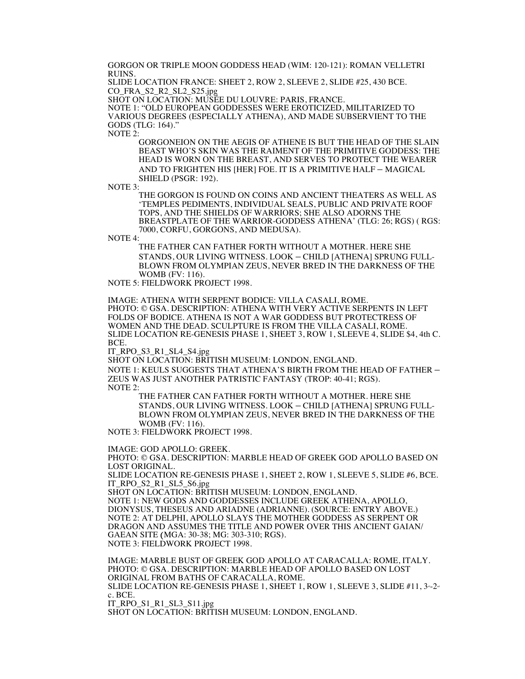GORGON OR TRIPLE MOON GODDESS HEAD (WIM: 120-121): ROMAN VELLETRI RUINS.

SLIDE LOCATION FRANCE: SHEET 2, ROW 2, SLEEVE 2, SLIDE #25, 430 BCE. CO\_FRA\_S2\_R2\_SL2\_S25.jpg

SHOT ON LOCATION: MUSÉE DU LOUVRE: PARIS, FRANCE.

NOTE 1: "OLD EUROPEAN GODDESSES WERE EROTICIZED, MILITARIZED TO VARIOUS DEGREES (ESPECIALLY ATHENA), AND MADE SUBSERVIENT TO THE GODS (TLG: 164)."

NOTE 2:

GORGONEION ON THE AEGIS OF ATHENE IS BUT THE HEAD OF THE SLAIN BEAST WHO'S SKIN WAS THE RAIMENT OF THE PRIMITIVE GODDESS: THE HEAD IS WORN ON THE BREAST, AND SERVES TO PROTECT THE WEARER AND TO FRIGHTEN HIS [HER] FOE. IT IS A PRIMITIVE HALF – MAGICAL SHIELD (PSGR: 192).

NOTE 3:

THE GORGON IS FOUND ON COINS AND ANCIENT THEATERS AS WELL AS 'TEMPLES PEDIMENTS, INDIVIDUAL SEALS, PUBLIC AND PRIVATE ROOF TOPS, AND THE SHIELDS OF WARRIORS; SHE ALSO ADORNS THE BREASTPLATE OF THE WARRIOR-GODDESS ATHENA' (TLG: 26; RGS) ( RGS: 7000, CORFU, GORGONS, AND MEDUSA).

NOTE 4:

THE FATHER CAN FATHER FORTH WITHOUT A MOTHER. HERE SHE STANDS, OUR LIVING WITNESS. LOOK – CHILD [ATHENA] SPRUNG FULL-BLOWN FROM OLYMPIAN ZEUS, NEVER BRED IN THE DARKNESS OF THE WOMB (FV: 116).

NOTE 5: FIELDWORK PROJECT 1998.

IMAGE: ATHENA WITH SERPENT BODICE: VILLA CASALI, ROME.

PHOTO: © GSA. DESCRIPTION: ATHENA WITH VERY ACTIVE SERPENTS IN LEFT FOLDS OF BODICE. ATHENA IS NOT A WAR GODDESS BUT PROTECTRESS OF WOMEN AND THE DEAD. SCULPTURE IS FROM THE VILLA CASALI, ROME. SLIDE LOCATION RE-GENESIS PHASE 1, SHEET 3, ROW 1, SLEEVE 4, SLIDE \$4, 4th C. BCE.

IT\_RPO\_S3\_R1\_SL4\_S4.jpg

SHOT ON LOCATION: BRITISH MUSEUM: LONDON, ENGLAND.

NOTE 1: KEULS SUGGESTS THAT ATHENA'S BIRTH FROM THE HEAD OF FATHER – ZEUS WAS JUST ANOTHER PATRISTIC FANTASY (TROP: 40-41; RGS). NOTE 2:

THE FATHER CAN FATHER FORTH WITHOUT A MOTHER. HERE SHE STANDS, OUR LIVING WITNESS. LOOK – CHILD [ATHENA] SPRUNG FULL-BLOWN FROM OLYMPIAN ZEUS, NEVER BRED IN THE DARKNESS OF THE WOMB (FV: 116).

NOTE 3: FIELDWORK PROJECT 1998.

IMAGE: GOD APOLLO: GREEK.

PHOTO: © GSA. DESCRIPTION: MARBLE HEAD OF GREEK GOD APOLLO BASED ON LOST ORIGINAL.

SLIDE LOCATION RE-GENESIS PHASE 1, SHEET 2, ROW 1, SLEEVE 5, SLIDE #6, BCE. IT\_RPO\_S2\_R1\_SL5\_S6.jpg

SHOT ON LOCATION: BRITISH MUSEUM: LONDON, ENGLAND.

NOTE 1: NEW GODS AND GODDESSES INCLUDE GREEK ATHENA, APOLLO, DIONYSUS, THESEUS AND ARIADNE (ADRIANNE). (SOURCE: ENTRY ABOVE.) NOTE 2: AT DELPHI, APOLLO SLAYS THE MOTHER GODDESS AS SERPENT OR DRAGON AND ASSUMES THE TITLE AND POWER OVER THIS ANCIENT GAIAN/ GAEAN SITE (MGA: 30-38; MG: 303-310; RGS). NOTE 3: FIELDWORK PROJECT 1998.

IMAGE: MARBLE BUST OF GREEK GOD APOLLO AT CARACALLA: ROME, ITALY. PHOTO: © GSA. DESCRIPTION: MARBLE HEAD OF APOLLO BASED ON LOST ORIGINAL FROM BATHS OF CARACALLA, ROME. SLIDE LOCATION RE-GENESIS PHASE 1, SHEET 1, ROW 1, SLEEVE 3, SLIDE  $#11$ ,  $3-2$ c. BCE. IT\_RPO\_S1\_R1\_SL3\_S11.jpg

SHOT ON LOCATION: BRITISH MUSEUM: LONDON, ENGLAND.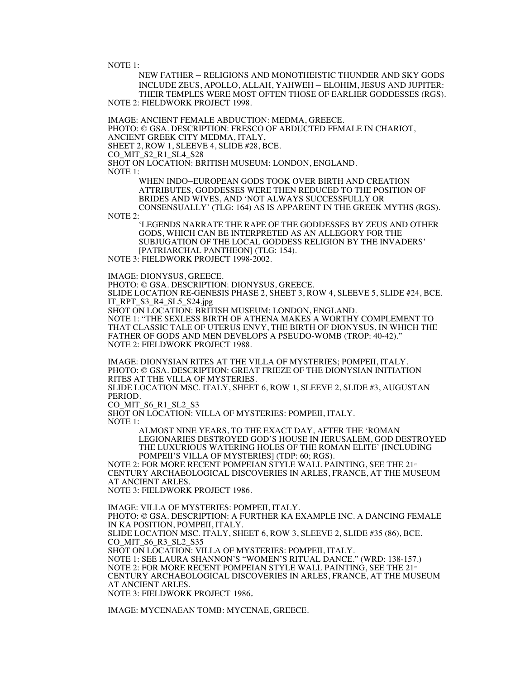NOTE 1:

NEW FATHER – RELIGIONS AND MONOTHEISTIC THUNDER AND SKY GODS INCLUDE ZEUS, APOLLO, ALLAH, YAHWEH – ELOHIM, JESUS AND JUPITER: THEIR TEMPLES WERE MOST OFTEN THOSE OF EARLIER GODDESSES (RGS). NOTE 2: FIELDWORK PROJECT 1998.

IMAGE: ANCIENT FEMALE ABDUCTION: MEDMA, GREECE. PHOTO: © GSA. DESCRIPTION: FRESCO OF ABDUCTED FEMALE IN CHARIOT, ANCIENT GREEK CITY MEDMA, ITALY, SHEET 2, ROW 1, SLEEVE 4, SLIDE #28, BCE. CO\_MIT\_S2\_R1\_SL4\_S28 SHOT ON LOCATION: BRITISH MUSEUM: LONDON, ENGLAND. NOTE 1:

WHEN INDO–EUROPEAN GODS TOOK OVER BIRTH AND CREATION ATTRIBUTES, GODDESSES WERE THEN REDUCED TO THE POSITION OF BRIDES AND WIVES, AND 'NOT ALWAYS SUCCESSFULLY OR CONSENSUALLY' (TLG: 164) AS IS APPARENT IN THE GREEK MYTHS (RGS).

NOTE 2:

'LEGENDS NARRATE THE RAPE OF THE GODDESSES BY ZEUS AND OTHER GODS, WHICH CAN BE INTERPRETED AS AN ALLEGORY FOR THE SUBJUGATION OF THE LOCAL GODDESS RELIGION BY THE INVADERS' [PATRIARCHAL PANTHEON] (TLG: 154). NOTE 3: FIELDWORK PROJECT 1998-2002.

IMAGE: DIONYSUS, GREECE.

PHOTO: © GSA. DESCRIPTION: DIONYSUS, GREECE.

SLIDE LOCATION RE-GENESIS PHASE 2, SHEET 3, ROW 4, SLEEVE 5, SLIDE #24, BCE. IT\_RPT\_S3\_R4\_SL5\_S24.jpg

SHOT ON LOCATION: BRITISH MUSEUM: LONDON, ENGLAND.

NOTE 1: "THE SEXLESS BIRTH OF ATHENA MAKES A WORTHY COMPLEMENT TO THAT CLASSIC TALE OF UTERUS ENVY, THE BIRTH OF DIONYSUS, IN WHICH THE FATHER OF GODS AND MEN DEVELOPS A PSEUDO-WOMB (TROP: 40-42)." NOTE 2: FIELDWORK PROJECT 1988.

IMAGE: DIONYSIAN RITES AT THE VILLA OF MYSTERIES; POMPEII, ITALY. PHOTO: © GSA. DESCRIPTION: GREAT FRIEZE OF THE DIONYSIAN INITIATION RITES AT THE VILLA OF MYSTERIES.

SLIDE LOCATION MSC. ITALY, SHEET 6, ROW 1, SLEEVE 2, SLIDE #3, AUGUSTAN **PERIOD.** 

CO\_MIT\_S6\_R1\_SL2\_S3

SHOT ON LOCATION: VILLA OF MYSTERIES: POMPEII, ITALY. NOTE 1:

> ALMOST NINE YEARS, TO THE EXACT DAY, AFTER THE 'ROMAN LEGIONARIES DESTROYED GOD'S HOUSE IN JERUSALEM, GOD DESTROYED THE LUXURIOUS WATERING HOLES OF THE ROMAN ELITE' [INCLUDING POMPEII'S VILLA OF MYSTERIES] (TDP: 60; RGS).

NOTE 2: FOR MORE RECENT POMPEIAN STYLE WALL PAINTING, SEE THE 21<sup>st</sup> CENTURY ARCHAEOLOGICAL DISCOVERIES IN ARLES, FRANCE, AT THE MUSEUM AT ANCIENT ARLES.

NOTE 3: FIELDWORK PROJECT 1986.

IMAGE: VILLA OF MYSTERIES: POMPEII, ITALY. PHOTO: © GSA. DESCRIPTION: A FURTHER KA EXAMPLE INC. A DANCING FEMALE IN KA POSITION, POMPEII, ITALY. SLIDE LOCATION MSC. ITALY, SHEET 6, ROW 3, SLEEVE 2, SLIDE #35 (86), BCE. CO\_MIT\_S6\_R3\_SL2\_S35 SHOT ON LOCATION: VILLA OF MYSTERIES: POMPEII, ITALY. NOTE 1: SEE LAURA SHANNON'S "WOMEN'S RITUAL DANCE." (WRD: 138-157.) NOTE 2: FOR MORE RECENT POMPEIAN STYLE WALL PAINTING, SEE THE  $21^{17}$ CENTURY ARCHAEOLOGICAL DISCOVERIES IN ARLES, FRANCE, AT THE MUSEUM AT ANCIENT ARLES. NOTE 3: FIELDWORK PROJECT 1986.

IMAGE: MYCENAEAN TOMB: MYCENAE, GREECE.